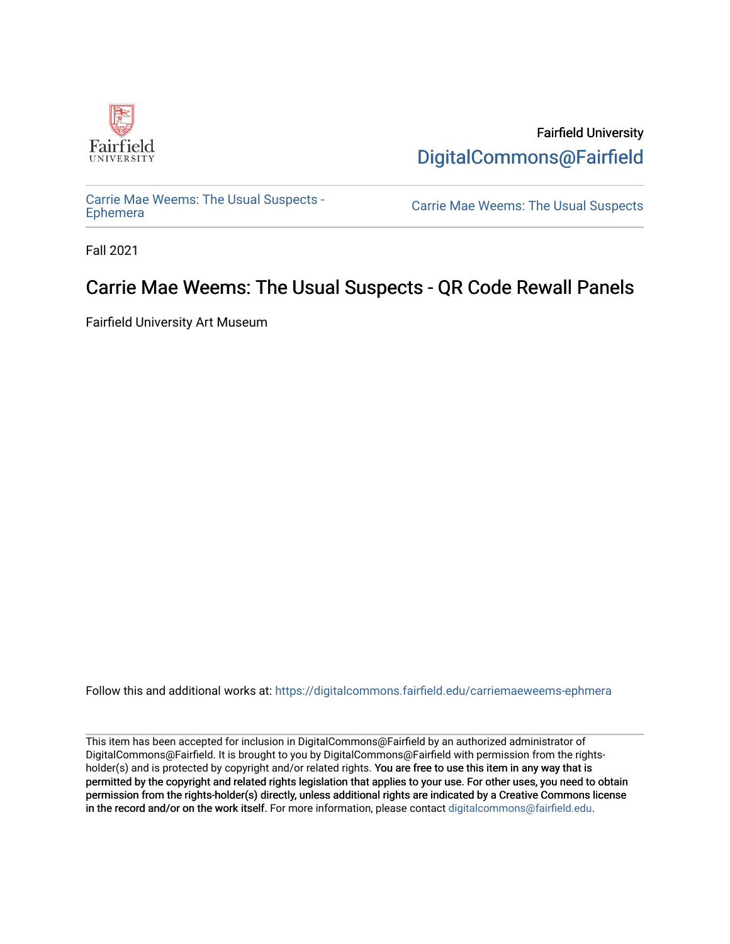

Fairfield University [DigitalCommons@Fairfield](https://digitalcommons.fairfield.edu/) 

[Carrie Mae Weems: The Usual Suspects -](https://digitalcommons.fairfield.edu/carriemaeweems-ephmera)

Carrie Mae Weems: The Usual Suspects

Fall 2021

#### Carrie Mae Weems: The Usual Suspects - QR Code Rewall Panels

Fairfield University Art Museum

Follow this and additional works at: [https://digitalcommons.fairfield.edu/carriemaeweems-ephmera](https://digitalcommons.fairfield.edu/carriemaeweems-ephmera?utm_source=digitalcommons.fairfield.edu%2Fcarriemaeweems-ephmera%2F8&utm_medium=PDF&utm_campaign=PDFCoverPages)

This item has been accepted for inclusion in DigitalCommons@Fairfield by an authorized administrator of DigitalCommons@Fairfield. It is brought to you by DigitalCommons@Fairfield with permission from the rightsholder(s) and is protected by copyright and/or related rights. You are free to use this item in any way that is permitted by the copyright and related rights legislation that applies to your use. For other uses, you need to obtain permission from the rights-holder(s) directly, unless additional rights are indicated by a Creative Commons license in the record and/or on the work itself. For more information, please contact [digitalcommons@fairfield.edu.](mailto:digitalcommons@fairfield.edu)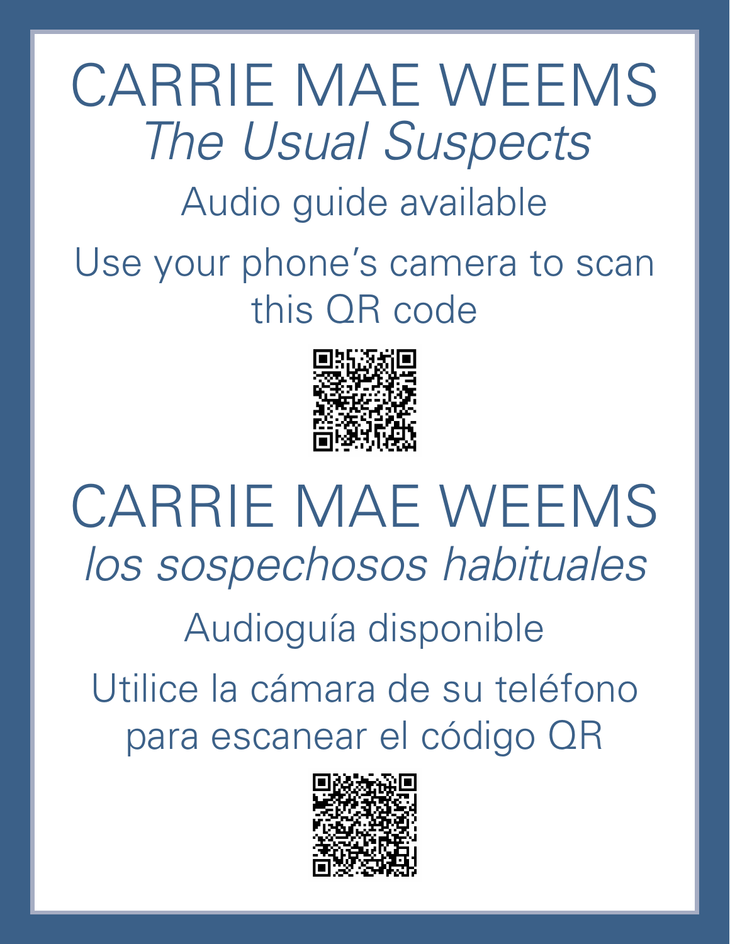## CARRIE MAE WEEMS *The Usual Suspects* Audio guide available Use your phone's camera to scan

this QR code



## CARRIE MAE WEEMS *los sospechosos habituales* Audioguía disponible Utilice la cámara de su teléfono para escanear el código QR

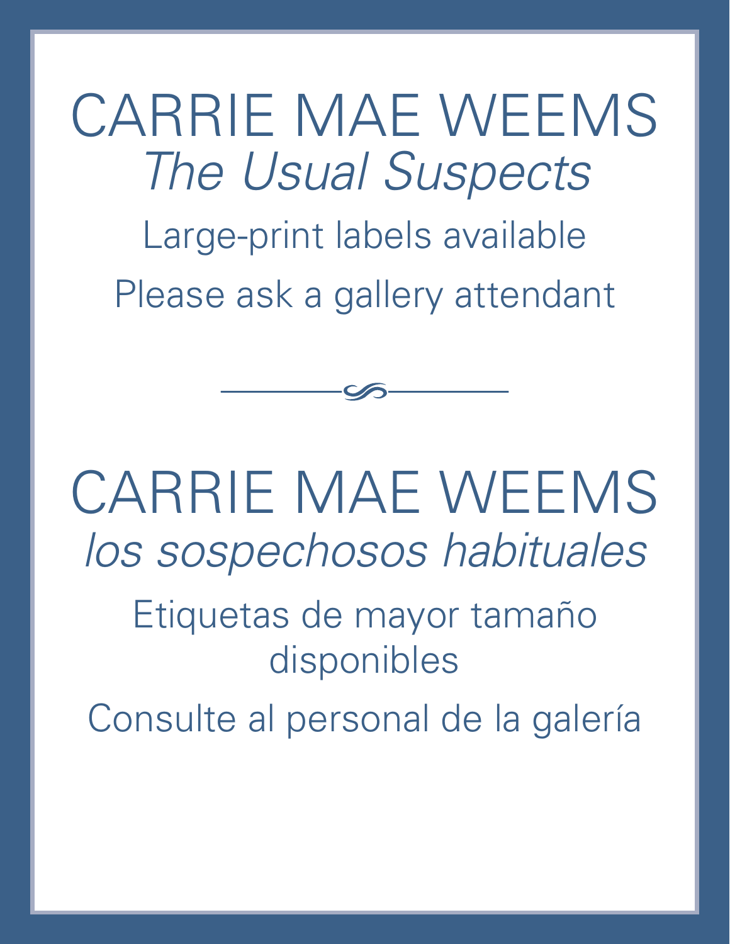CARRIE MAE WEEMS *The Usual Suspects* Large-print labels available Please ask a gallery attendant

CARRIE MAE WEEMS *los sospechosos habituales*

> Etiquetas de mayor tamaño disponibles

Consulte al personal de la galería